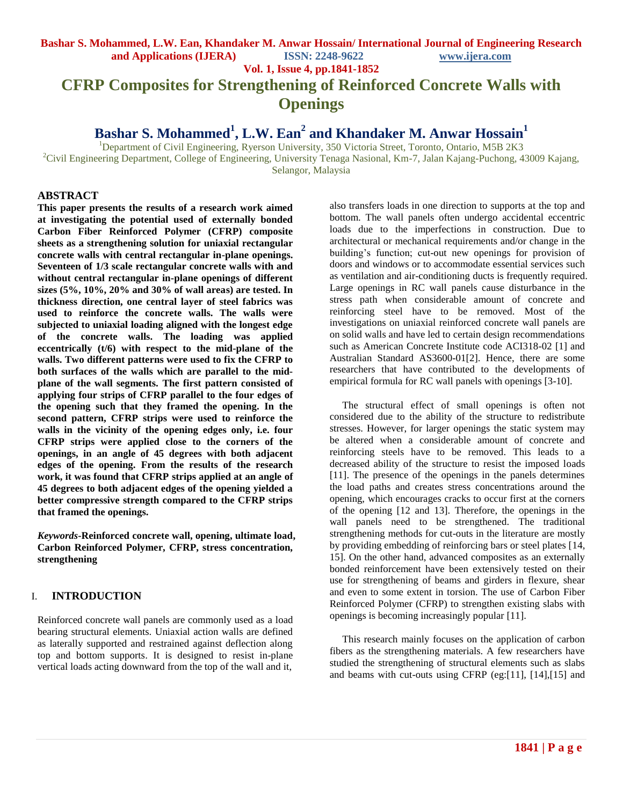**Vol. 1, Issue 4, pp.1841-1852**

**CFRP Composites for Strengthening of Reinforced Concrete Walls with Openings**

**Bashar S. Mohammed<sup>1</sup> , L.W. Ean<sup>2</sup> and Khandaker M. Anwar Hossain<sup>1</sup>**

<sup>1</sup>Department of Civil Engineering, Ryerson University, 350 Victoria Street, Toronto, Ontario, M5B 2K3 <sup>2</sup>Civil Engineering Department, College of Engineering, University Tenaga Nasional, Km-7, Jalan Kajang-Puchong, 43009 Kajang, Selangor, Malaysia

### **ABSTRACT**

**This paper presents the results of a research work aimed at investigating the potential used of externally bonded Carbon Fiber Reinforced Polymer (CFRP) composite sheets as a strengthening solution for uniaxial rectangular concrete walls with central rectangular in-plane openings. Seventeen of 1/3 scale rectangular concrete walls with and without central rectangular in-plane openings of different sizes (5%, 10%, 20% and 30% of wall areas) are tested. In thickness direction, one central layer of steel fabrics was used to reinforce the concrete walls. The walls were subjected to uniaxial loading aligned with the longest edge of the concrete walls. The loading was applied eccentrically (t/6) with respect to the mid-plane of the walls. Two different patterns were used to fix the CFRP to both surfaces of the walls which are parallel to the midplane of the wall segments. The first pattern consisted of applying four strips of CFRP parallel to the four edges of the opening such that they framed the opening. In the second pattern, CFRP strips were used to reinforce the walls in the vicinity of the opening edges only, i.e. four CFRP strips were applied close to the corners of the openings, in an angle of 45 degrees with both adjacent edges of the opening. From the results of the research work, it was found that CFRP strips applied at an angle of 45 degrees to both adjacent edges of the opening yielded a better compressive strength compared to the CFRP strips that framed the openings.**

*Keywords***-Reinforced concrete wall, opening, ultimate load, Carbon Reinforced Polymer, CFRP, stress concentration, strengthening**

## I. **INTRODUCTION**

Reinforced concrete wall panels are commonly used as a load bearing structural elements. Uniaxial action walls are defined as laterally supported and restrained against deflection along top and bottom supports. It is designed to resist in-plane vertical loads acting downward from the top of the wall and it,

also transfers loads in one direction to supports at the top and bottom. The wall panels often undergo accidental eccentric loads due to the imperfections in construction. Due to architectural or mechanical requirements and/or change in the building's function; cut-out new openings for provision of doors and windows or to accommodate essential services such as ventilation and air-conditioning ducts is frequently required. Large openings in RC wall panels cause disturbance in the stress path when considerable amount of concrete and reinforcing steel have to be removed. Most of the investigations on uniaxial reinforced concrete wall panels are on solid walls and have led to certain design recommendations such as American Concrete Institute code ACI318-02 [1] and Australian Standard AS3600-01[2]. Hence, there are some researchers that have contributed to the developments of empirical formula for RC wall panels with openings [3-10].

 The structural effect of small openings is often not considered due to the ability of the structure to redistribute stresses. However, for larger openings the static system may be altered when a considerable amount of concrete and reinforcing steels have to be removed. This leads to a decreased ability of the structure to resist the imposed loads [11]. The presence of the openings in the panels determines the load paths and creates stress concentrations around the opening, which encourages cracks to occur first at the corners of the opening [12 and 13]. Therefore, the openings in the wall panels need to be strengthened. The traditional strengthening methods for cut-outs in the literature are mostly by providing embedding of reinforcing bars or steel plates [14, 15]. On the other hand, advanced composites as an externally bonded reinforcement have been extensively tested on their use for strengthening of beams and girders in flexure, shear and even to some extent in torsion. The use of Carbon Fiber Reinforced Polymer (CFRP) to strengthen existing slabs with openings is becoming increasingly popular [11].

 This research mainly focuses on the application of carbon fibers as the strengthening materials. A few researchers have studied the strengthening of structural elements such as slabs and beams with cut-outs using CFRP (eg:[11], [14],[15] and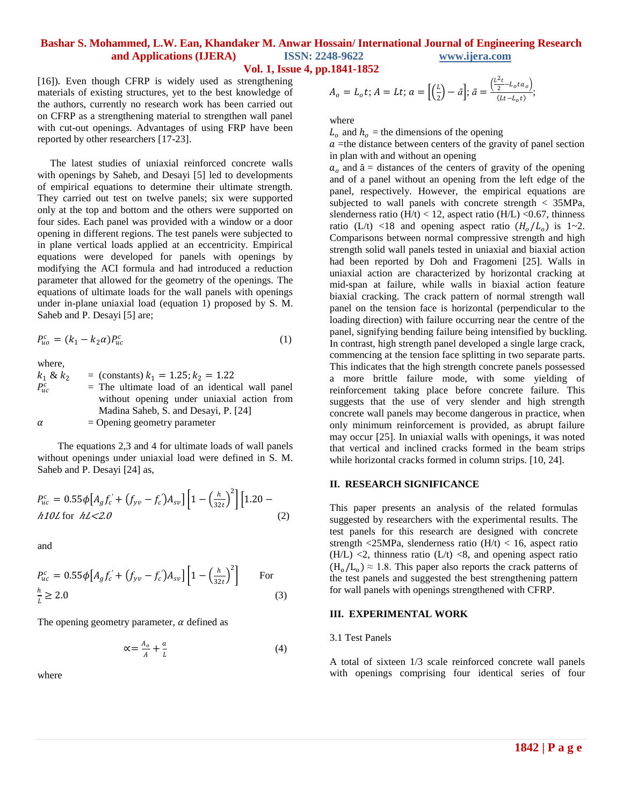**Vol. 1, Issue 4, pp.1841-1852**

[16]). Even though CFRP is widely used as strengthening materials of existing structures, yet to the best knowledge of the authors, currently no research work has been carried out on CFRP as a strengthening material to strengthen wall panel with cut-out openings. Advantages of using FRP have been reported by other researchers [17-23].

 The latest studies of uniaxial reinforced concrete walls with openings by Saheb, and Desayi [5] led to developments of empirical equations to determine their ultimate strength. They carried out test on twelve panels; six were supported only at the top and bottom and the others were supported on four sides. Each panel was provided with a window or a door opening in different regions. The test panels were subjected to in plane vertical loads applied at an eccentricity. Empirical equations were developed for panels with openings by modifying the ACI formula and had introduced a reduction parameter that allowed for the geometry of the openings. The equations of ultimate loads for the wall panels with openings under in-plane uniaxial load (equation 1) proposed by S. M. Saheb and P. Desayi [5] are;

$$
P_{uo}^c = (k_1 - k_2 \alpha) P_{uc}^c
$$
 (1)

where,

 $k_1 \& k_2 = (constants) k_1 = 1.25; k_2 = 1.22$  $P_{uc}^c$  = The ultimate load of an identical wall panel without opening under uniaxial action from Madina Saheb, S. and Desayi, P. [24]  $\alpha$  = Opening geometry parameter

 The equations 2,3 and 4 for ultimate loads of wall panels without openings under uniaxial load were defined in S. M. Saheb and P. Desayi [24] as,

$$
P_{uc}^{c} = 0.55\phi \left[A_{g}f_{c}^{'} + (f_{yv} - f_{c}^{'} )A_{sv}\right] \left[1 - \left(\frac{h}{32t}\right)^{2}\right] \left[1.20 - h10L \text{ for } hL < 2.0\right]
$$
\n(2)

and

$$
P_{uc}^{c} = 0.55\phi \left[A_{g}f_{c}^{'} + (f_{yv} - f_{c}^{'} )A_{sv}\right] \left[1 - \left(\frac{h}{32t}\right)^{2}\right]
$$
 For  

$$
\frac{h}{L} \ge 2.0
$$
 (3)

The opening geometry parameter,  $\alpha$  defined as

$$
\alpha = \frac{A_o}{A} + \frac{a}{L} \tag{4}
$$

where

$$
A_o = L_o t; A = Lt; a = \left[\left(\frac{L}{2}\right) - \bar{a}\right]; \bar{a} = \frac{\left(\frac{L^2 t}{2} - L_o t a_o\right)}{(l t - L_o t)};
$$

where

 $L_0$  and  $h_0$  = the dimensions of the opening

 $a$  =the distance between centers of the gravity of panel section in plan with and without an opening

 $a<sub>o</sub>$  and  $\bar{a}$  = distances of the centers of gravity of the opening and of a panel without an opening from the left edge of the panel, respectively. However, the empirical equations are subjected to wall panels with concrete strength  $\langle$  35MPa, slenderness ratio  $(H/t) < 12$ , aspect ratio  $(H/L) < 0.67$ , thinness ratio (L/t) <18 and opening aspect ratio  $(H_0/L_0)$  is 1~2. Comparisons between normal compressive strength and high strength solid wall panels tested in uniaxial and biaxial action had been reported by Doh and Fragomeni [25]. Walls in uniaxial action are characterized by horizontal cracking at mid-span at failure, while walls in biaxial action feature biaxial cracking. The crack pattern of normal strength wall panel on the tension face is horizontal (perpendicular to the loading direction) with failure occurring near the centre of the panel, signifying bending failure being intensified by buckling. In contrast, high strength panel developed a single large crack, commencing at the tension face splitting in two separate parts. This indicates that the high strength concrete panels possessed a more brittle failure mode, with some yielding of reinforcement taking place before concrete failure. This suggests that the use of very slender and high strength concrete wall panels may become dangerous in practice, when only minimum reinforcement is provided, as abrupt failure may occur [25]. In uniaxial walls with openings, it was noted that vertical and inclined cracks formed in the beam strips while horizontal cracks formed in column strips. [10, 24].

#### **II. RESEARCH SIGNIFICANCE**

This paper presents an analysis of the related formulas suggested by researchers with the experimental results. The test panels for this research are designed with concrete strength  $\langle 25MPa,$  slenderness ratio (H/t)  $\langle 16,$  aspect ratio  $(H/L)$  <2, thinness ratio  $(L/t)$  <8, and opening aspect ratio  $(H_0/L_0) \approx 1.8$ . This paper also reports the crack patterns of the test panels and suggested the best strengthening pattern for wall panels with openings strengthened with CFRP.

#### **III. EXPERIMENTAL WORK**

#### 3.1 Test Panels

A total of sixteen 1/3 scale reinforced concrete wall panels with openings comprising four identical series of four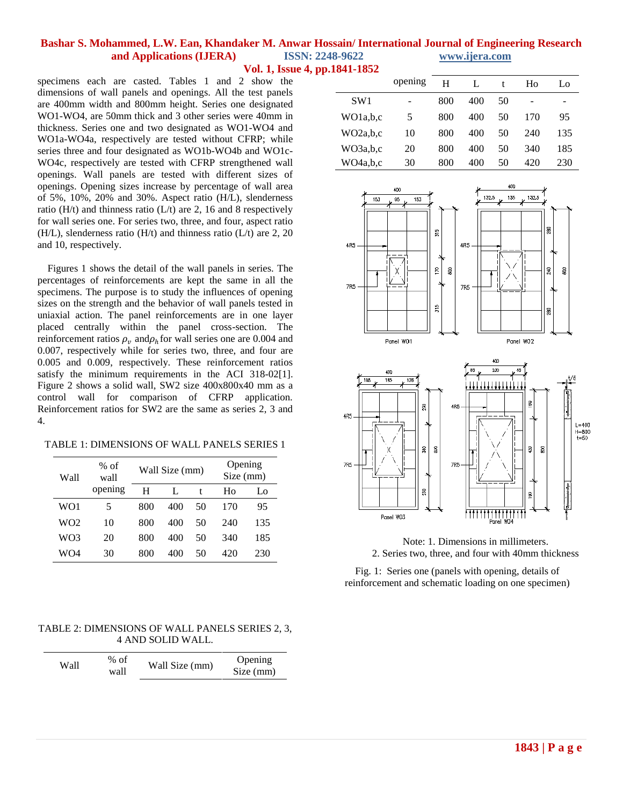specimens each are casted. Tables 1 and 2 show the dimensions of wall panels and openings. All the test panels are 400mm width and 800mm height. Series one designated WO1-WO4, are 50mm thick and 3 other series were 40mm in thickness. Series one and two designated as WO1-WO4 and WO1a-WO4a, respectively are tested without CFRP; while series three and four designated as WO1b-WO4b and WO1c-WO4c, respectively are tested with CFRP strengthened wall openings. Wall panels are tested with different sizes of openings. Opening sizes increase by percentage of wall area of 5%, 10%, 20% and 30%. Aspect ratio (H/L), slenderness ratio (H/t) and thinness ratio ( $L/t$ ) are 2, 16 and 8 respectively for wall series one. For series two, three, and four, aspect ratio  $(H/L)$ , slenderness ratio  $(H/t)$  and thinness ratio  $(L/t)$  are 2, 20 and 10, respectively.

Figures 1 shows the detail of the wall panels in series. The percentages of reinforcements are kept the same in all the specimens. The purpose is to study the influences of opening sizes on the strength and the behavior of wall panels tested in uniaxial action. The panel reinforcements are in one layer placed centrally within the panel cross-section. The reinforcement ratios  $\rho_v$  and  $\rho_h$  for wall series one are 0.004 and 0.007, respectively while for series two, three, and four are 0.005 and 0.009, respectively. These reinforcement ratios satisfy the minimum requirements in the ACI 318-02[1]. Figure 2 shows a solid wall, SW2 size 400x800x40 mm as a control wall for comparison of CFRP application. Reinforcement ratios for SW2 are the same as series 2, 3 and 4.

| Wall | $%$ of<br>wall | Wall Size (mm) |     |    | Opening<br>Size (mm) |     |
|------|----------------|----------------|-----|----|----------------------|-----|
|      | opening        | H              | L   |    | H٥                   | Lo  |
| WO1  | 5              | 800            | 400 | 50 | 170                  | 95  |
| WO2  | 10             | 800            | 400 | 50 | 240                  | 135 |
| WO3  | 20             | 800            | 400 | 50 | 340                  | 185 |
| WO4  | 30             | 800            | 400 | 50 | 420                  | 230 |

#### TABLE 2: DIMENSIONS OF WALL PANELS SERIES 2, 3, 4 AND SOLID WALL.

| $%$ of<br>Wall Size (mm)<br>Wall<br>wall | Opening<br>Size (mm) |
|------------------------------------------|----------------------|
|------------------------------------------|----------------------|

|                 | opening | H   |     |    | Ho  | Lo  |
|-----------------|---------|-----|-----|----|-----|-----|
| SW <sub>1</sub> |         | 800 | 400 | 50 | -   | -   |
| WO1a,b,c        | 5       | 800 | 400 | 50 | 170 | 95  |
| WO2a,b,c        | 10      | 800 | 400 | 50 | 240 | 135 |
| WO3a,b,c        | 20      | 800 | 400 | 50 | 340 | 185 |
| WO4a.b.c        | 30      | 800 | 400 | 50 | 420 | 230 |



Panel W01







Fig. 1: Series one (panels with opening, details of reinforcement and schematic loading on one specimen)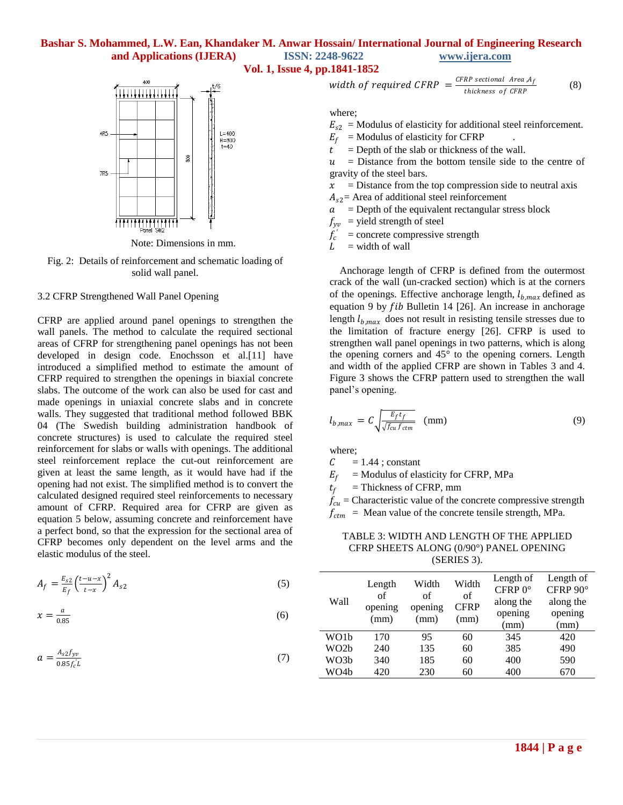**Vol. 1, Issue 4, pp.1841-1852**



Note: Dimensions in mm.

Fig. 2: Details of reinforcement and schematic loading of solid wall panel.

### 3.2 CFRP Strengthened Wall Panel Opening

CFRP are applied around panel openings to strengthen the wall panels. The method to calculate the required sectional areas of CFRP for strengthening panel openings has not been developed in design code. Enochsson et al.[11] have introduced a simplified method to estimate the amount of CFRP required to strengthen the openings in biaxial concrete slabs. The outcome of the work can also be used for cast and made openings in uniaxial concrete slabs and in concrete walls. They suggested that traditional method followed BBK 04 (The Swedish building administration handbook of concrete structures) is used to calculate the required steel reinforcement for slabs or walls with openings. The additional steel reinforcement replace the cut-out reinforcement are given at least the same length, as it would have had if the opening had not exist. The simplified method is to convert the calculated designed required steel reinforcements to necessary amount of CFRP. Required area for CFRP are given as equation 5 below, assuming concrete and reinforcement have a perfect bond, so that the expression for the sectional area of CFRP becomes only dependent on the level arms and the elastic modulus of the steel.

$$
A_f = \frac{E_{s2}}{E_f} \left(\frac{t - u - x}{t - x}\right)^2 A_{s2}
$$
 (5)

$$
x = \frac{a}{0.85} \tag{6}
$$

$$
a = \frac{A_{s2}f_{yv}}{0.85f_c'}
$$
 (7)

width of required  $CFRP = \frac{CFRP \text{ sectional Area}, A_f}{\text{determinant of CFR}}$ thickness of CFRP (8)

where;

- $E_{s2}$  = Modulus of elasticity for additional steel reinforcement.
- $E_f$  = Modulus of elasticity for CFRP
- $t =$  Depth of the slab or thickness of the wall.

 $u =$  Distance from the bottom tensile side to the centre of gravity of the steel bars.

 $x =$  Distance from the top compression side to neutral axis

 $A_{s2}$  Area of additional steel reinforcement

 $a =$  Depth of the equivalent rectangular stress block

 $f_{\nu\nu}$  = yield strength of steel

 $f'_c$  = concrete compressive strength

 $=$  width of wall

Anchorage length of CFRP is defined from the outermost crack of the wall (un-cracked section) which is at the corners of the openings. Effective anchorage length,  $l_{b,max}$  defined as equation 9 by  $fib$  Bulletin 14 [26]. An increase in anchorage length  $l_{b,max}$  does not result in resisting tensile stresses due to the limitation of fracture energy [26]. CFRP is used to strengthen wall panel openings in two patterns, which is along the opening corners and 45° to the opening corners. Length and width of the applied CFRP are shown in Tables 3 and 4. Figure 3 shows the CFRP pattern used to strengthen the wall panel's opening.

$$
l_{b,max} = C \sqrt{\frac{E_f t_f}{\sqrt{f_{cu} f_{ctm}}}}
$$
 (mm) (9)

where;

 $C = 1.44$ ; constant

 $E_f$  = Modulus of elasticity for CFRP, MPa

 $t_f$  = Thickness of CFRP, mm

 $f_{cu}$  = Characteristic value of the concrete compressive strength  $f_{ctm}$  = Mean value of the concrete tensile strength, MPa.

#### TABLE 3: WIDTH AND LENGTH OF THE APPLIED CFRP SHEETS ALONG (0/90°) PANEL OPENING (SERIES 3).

| Wall              | Length<br>οf<br>opening<br>(mm) | Width<br>of<br>opening<br>(mm) | Width<br>of<br><b>CFRP</b><br>(mm) | Length of<br>$CFRP 0^\circ$<br>along the<br>opening<br>(mm) | Length of<br>CFRP $90^\circ$<br>along the<br>opening<br>(mm) |
|-------------------|---------------------------------|--------------------------------|------------------------------------|-------------------------------------------------------------|--------------------------------------------------------------|
| WO1b              | 170                             | 95                             | 60                                 | 345                                                         | 420                                                          |
| WO <sub>2</sub> b | 240                             | 135                            | 60                                 | 385                                                         | 490                                                          |
| WO3b              | 340                             | 185                            | 60                                 | 400                                                         | 590                                                          |
| WO4b              | 420                             | 230                            | 60                                 | 400                                                         | 670                                                          |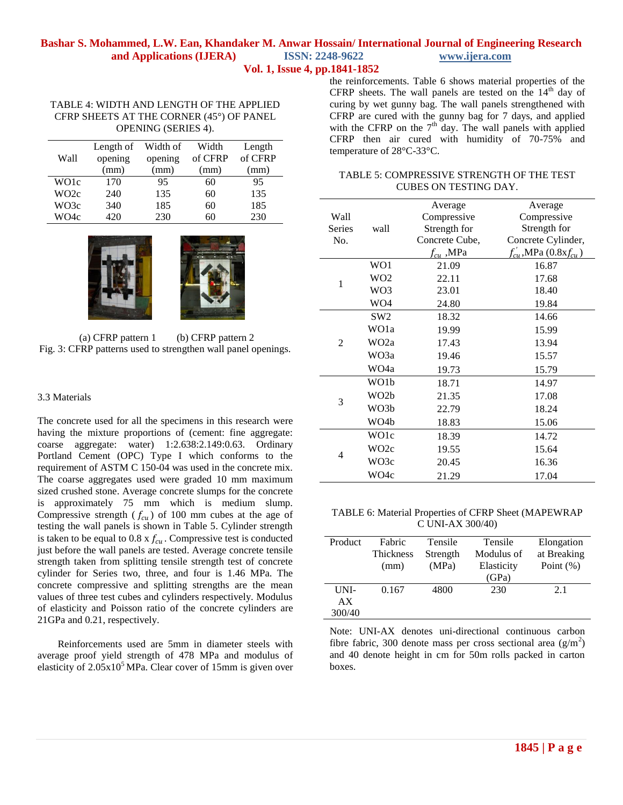**Vol. 1, Issue 4, pp.1841-1852**

#### TABLE 4: WIDTH AND LENGTH OF THE APPLIED CFRP SHEETS AT THE CORNER (45°) OF PANEL OPENING (SERIES 4).

|                   | Length of | Width of | Width   | Length  |
|-------------------|-----------|----------|---------|---------|
| Wall              | opening   | opening  | of CFRP | of CFRP |
|                   | (mm)      | (mm)     | (mm)    | (mm)    |
| WO1c              | 170       | 95       | 60      | 95      |
| WO <sub>2</sub> c | 240       | 135      | 60      | 135     |
| WO3c              | 340       | 185      | 60      | 185     |
| WO4c              | 420       | 230      | 60      | 230     |



 (a) CFRP pattern 1 (b) CFRP pattern 2 Fig. 3: CFRP patterns used to strengthen wall panel openings.

### 3.3 Materials

The concrete used for all the specimens in this research were having the mixture proportions of (cement: fine aggregate: coarse aggregate: water) 1:2.638:2.149:0.63. Ordinary Portland Cement (OPC) Type I which conforms to the requirement of ASTM C 150-04 was used in the concrete mix. The coarse aggregates used were graded 10 mm maximum sized crushed stone. Average concrete slumps for the concrete is approximately 75 mm which is medium slump. Compressive strength  $(f_{cu})$  of 100 mm cubes at the age of testing the wall panels is shown in Table 5. Cylinder strength is taken to be equal to 0.8 x  $f_{cu}$ . Compressive test is conducted just before the wall panels are tested. Average concrete tensile strength taken from splitting tensile strength test of concrete cylinder for Series two, three, and four is 1.46 MPa. The concrete compressive and splitting strengths are the mean values of three test cubes and cylinders respectively. Modulus of elasticity and Poisson ratio of the concrete cylinders are 21GPa and 0.21, respectively.

 Reinforcements used are 5mm in diameter steels with average proof yield strength of 478 MPa and modulus of elasticity of  $2.05x10<sup>5</sup>$  MPa. Clear cover of 15mm is given over the reinforcements. Table 6 shows material properties of the CFRP sheets. The wall panels are tested on the  $14<sup>th</sup>$  day of curing by wet gunny bag. The wall panels strengthened with CFRP are cured with the gunny bag for 7 days, and applied with the CFRP on the  $7<sup>th</sup>$  day. The wall panels with applied CFRP then air cured with humidity of 70-75% and temperature of 28°C-33°C.

#### TABLE 5: COMPRESSIVE STRENGTH OF THE TEST CUBES ON TESTING DAY.

|                              |                  | Average        | Average                         |
|------------------------------|------------------|----------------|---------------------------------|
| Wall                         |                  | Compressive    | Compressive                     |
| <b>Series</b><br>wall<br>No. |                  | Strength for   | Strength for                    |
|                              |                  | Concrete Cube, | Concrete Cylinder,              |
|                              |                  | $f_{cu}$ , MPa | $f'_{cu}$ ,MPa (0.8x $f_{cu}$ ) |
|                              | WO1              | 21.09          | 16.87                           |
| 1                            | WO <sub>2</sub>  | 22.11          | 17.68                           |
|                              | WO <sub>3</sub>  | 23.01          | 18.40                           |
|                              | WO4              | 24.80          | 19.84                           |
|                              | SW <sub>2</sub>  | 18.32          | 14.66                           |
|                              | WO1a             | 19.99          | 15.99                           |
| $\mathfrak{D}$               | WO <sub>2a</sub> | 17.43          | 13.94                           |
|                              | WO3a             | 19.46          | 15.57                           |
|                              | WO4a             | 19.73          | 15.79                           |
|                              | WO1b             | 18.71          | 14.97                           |
| 3                            | WO2b             | 21.35          | 17.08                           |
|                              | WO3b             | 22.79          | 18.24                           |
|                              | WO4b             | 18.83          | 15.06                           |
|                              | WO1c             | 18.39          | 14.72                           |
|                              | WO2c             | 19.55          | 15.64                           |
| 4                            | WO3c             | 20.45          | 16.36                           |
|                              | WO4c             | 21.29          | 17.04                           |

TABLE 6: Material Properties of CFRP Sheet (MAPEWRAP C UNI-AX 300/40)

| Product | Fabric           | Tensile  | Tensile    | Elongation   |
|---------|------------------|----------|------------|--------------|
|         | <b>Thickness</b> | Strength | Modulus of | at Breaking  |
|         | (mm)             | (MPa)    | Elasticity | Point $(\%)$ |
|         |                  |          | (GPa)      |              |
| UNI-    | 0.167            | 4800     | 230        | 2.1          |
| AX      |                  |          |            |              |
| 300/40  |                  |          |            |              |

Note: UNI-AX denotes uni-directional continuous carbon fibre fabric, 300 denote mass per cross sectional area  $(g/m^2)$ and 40 denote height in cm for 50m rolls packed in carton boxes.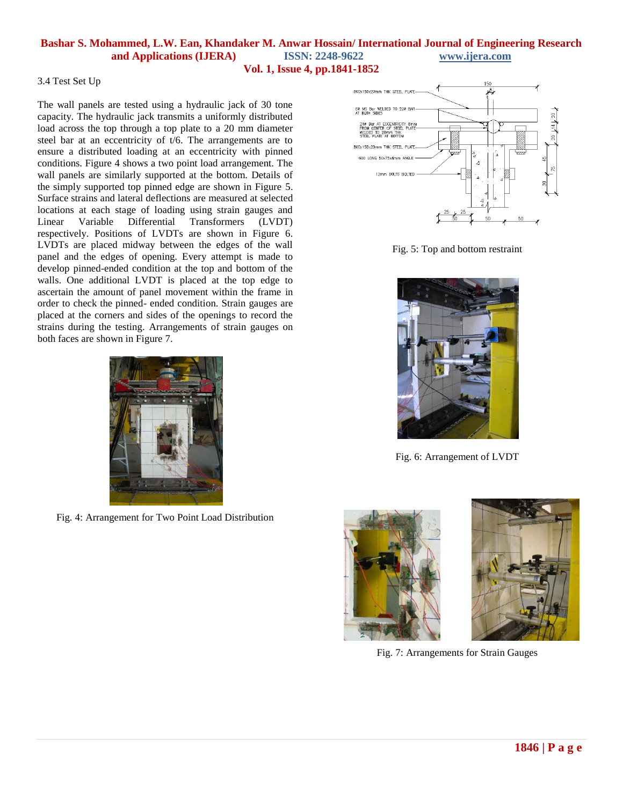#### 3.4 Test Set Up

The wall panels are tested using a hydraulic jack of 30 tone capacity. The hydraulic jack transmits a uniformly distributed load across the top through a top plate to a 20 mm diameter steel bar at an eccentricity of t/6. The arrangements are to ensure a distributed loading at an eccentricity with pinned conditions. Figure 4 shows a two point load arrangement. The wall panels are similarly supported at the bottom. Details of the simply supported top pinned edge are shown in Figure 5. Surface strains and lateral deflections are measured at selected locations at each stage of loading using strain gauges and Linear Variable Differential Transformers (LVDT) respectively. Positions of LVDTs are shown in Figure 6. LVDTs are placed midway between the edges of the wall panel and the edges of opening. Every attempt is made to develop pinned-ended condition at the top and bottom of the walls. One additional LVDT is placed at the top edge to ascertain the amount of panel movement within the frame in order to check the pinned- ended condition. Strain gauges are placed at the corners and sides of the openings to record the strains during the testing. Arrangements of strain gauges on both faces are shown in Figure 7.



Fig. 4: Arrangement for Two Point Load Distribution







Fig. 6: Arrangement of LVDT





Fig. 7: Arrangements for Strain Gauges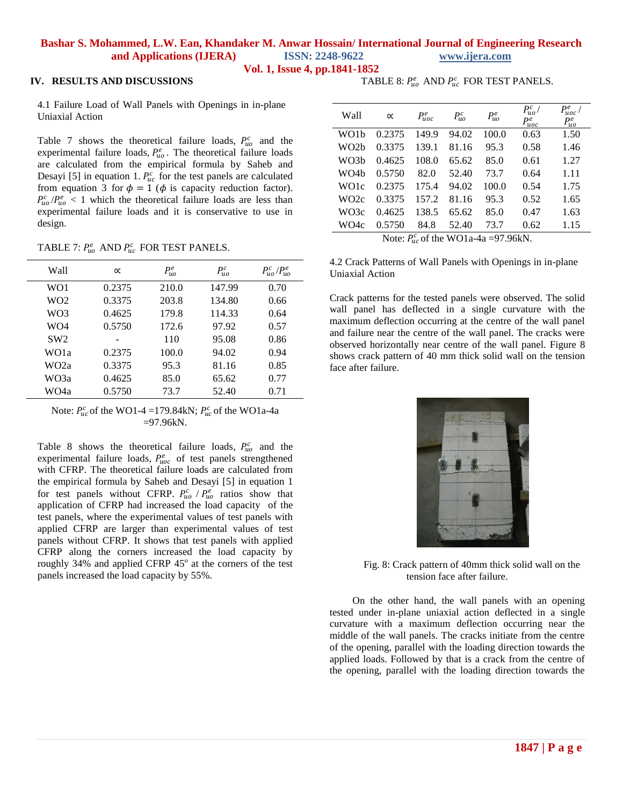**Vol. 1, Issue 4, pp.1841-1852**

**IV. RESULTS AND DISCUSSIONS**

4.1 Failure Load of Wall Panels with Openings in in-plane Uniaxial Action

Table 7 shows the theoretical failure loads,  $P_{uo}^c$  and the experimental failure loads,  $P_{uo}^e$ . The theoretical failure loads are calculated from the empirical formula by Saheb and Desayi [5] in equation 1.  $P_{uc}^c$  for the test panels are calculated from equation 3 for  $\phi = 1$  ( $\phi$  is capacity reduction factor).  $P_{uo}^c/P_{uo}^e < 1$  which the theoretical failure loads are less than experimental failure loads and it is conservative to use in design.

TABLE 7:  $P_{uo}^e$  AND  $P_{uc}^c$  FOR TEST PANELS.

| Wall              | $\propto$ | $P_{uo}^e$ | $P_{uo}^c$ | $P_{uo}^c/P_{uo}^e$ |
|-------------------|-----------|------------|------------|---------------------|
| WO1               | 0.2375    | 210.0      | 147.99     | 0.70                |
| WO <sub>2</sub>   | 0.3375    | 203.8      | 134.80     | 0.66                |
| WO <sub>3</sub>   | 0.4625    | 179.8      | 114.33     | 0.64                |
| WO4               | 0.5750    | 172.6      | 97.92      | 0.57                |
| SW2               |           | 110        | 95.08      | 0.86                |
| WO1a              | 0.2375    | 100.0      | 94.02      | 0.94                |
| WO <sub>2a</sub>  | 0.3375    | 95.3       | 81.16      | 0.85                |
| WO <sub>3</sub> a | 0.4625    | 85.0       | 65.62      | 0.77                |
| WO4a              | 0.5750    | 73.7       | 52.40      | 0.71                |

Note:  $P_{uc}^c$  of the WO1-4 =179.84kN;  $P_{uc}^c$  of the WO1a-4a  $=97.96kN$ .

Table 8 shows the theoretical failure loads,  $P_{uo}^c$  and the experimental failure loads,  $P_{uoc}^e$  of test panels strengthened with CFRP. The theoretical failure loads are calculated from the empirical formula by Saheb and Desayi [5] in equation 1 for test panels without CFRP.  $P_{uo}^c$  /  $P_{uo}^e$  ratios show that application of CFRP had increased the load capacity of the test panels, where the experimental values of test panels with applied CFRP are larger than experimental values of test panels without CFRP. It shows that test panels with applied CFRP along the corners increased the load capacity by roughly 34% and applied CFRP 45° at the corners of the test panels increased the load capacity by 55%.

TABLE 8:  $P_{uo}^e$  AND  $P_{uc}^c$  FOR TEST PANELS.

| Wall              | $\propto$ | $P_{uoc}^e$ | $P_{uo}^c$ | $P_{uo}^e$                                                                                                                                                                        | $P_{uo}^c$ / | $P_{uoc}^e/$ |
|-------------------|-----------|-------------|------------|-----------------------------------------------------------------------------------------------------------------------------------------------------------------------------------|--------------|--------------|
|                   |           |             |            |                                                                                                                                                                                   | $P_{uoc}^e$  | $P^e_{uo}$   |
| WO1b              | 0.2375    | 149.9       | 94.02      | 100.0                                                                                                                                                                             | 0.63         | 1.50         |
| WO <sub>2</sub> b | 0.3375    | 139.1       | 81.16      | 95.3                                                                                                                                                                              | 0.58         | 1.46         |
| WO <sub>3</sub> b | 0.4625    | 108.0       | 65.62      | 85.0                                                                                                                                                                              | 0.61         | 1.27         |
| WO4b              | 0.5750    | 82.0        | 52.40      | 73.7                                                                                                                                                                              | 0.64         | 1.11         |
| WO <sub>1</sub> c | 0.2375    | 175.4       | 94.02      | 100.0                                                                                                                                                                             | 0.54         | 1.75         |
| WO <sub>2</sub> c | 0.3375    | 157.2       | 81.16      | 95.3                                                                                                                                                                              | 0.52         | 1.65         |
| WO <sub>3</sub> c | 0.4625    | 138.5       | 65.62      | 85.0                                                                                                                                                                              | 0.47         | 1.63         |
| WO <sub>4</sub> c | 0.5750    | 84.8        | 52.40      | 73.7                                                                                                                                                                              | 0.62         | 1.15         |
|                   |           |             |            | $\mathbf{M}$ $\omega$ $\mathbf{D}^{\prime}$ $\mathbf{C}$ $\mathbf{A}$ $\mathbf{W}\mathbf{O}$ $\mathbf{1}$ $\mathbf{A}$ $\mathbf{O}\mathbf{Z}$ $\mathbf{O}\mathbf{C}$ $\mathbf{M}$ |              |              |

Note:  $P_{uc}^{c}$  of the WO1a-4a =97.96kN.

4.2 Crack Patterns of Wall Panels with Openings in in-plane Uniaxial Action

Crack patterns for the tested panels were observed. The solid wall panel has deflected in a single curvature with the maximum deflection occurring at the centre of the wall panel and failure near the centre of the wall panel. The cracks were observed horizontally near centre of the wall panel. Figure 8 shows crack pattern of 40 mm thick solid wall on the tension face after failure.

| 5 |  |
|---|--|
|   |  |
|   |  |

Fig. 8: Crack pattern of 40mm thick solid wall on the tension face after failure.

 On the other hand, the wall panels with an opening tested under in-plane uniaxial action deflected in a single curvature with a maximum deflection occurring near the middle of the wall panels. The cracks initiate from the centre of the opening, parallel with the loading direction towards the applied loads. Followed by that is a crack from the centre of the opening, parallel with the loading direction towards the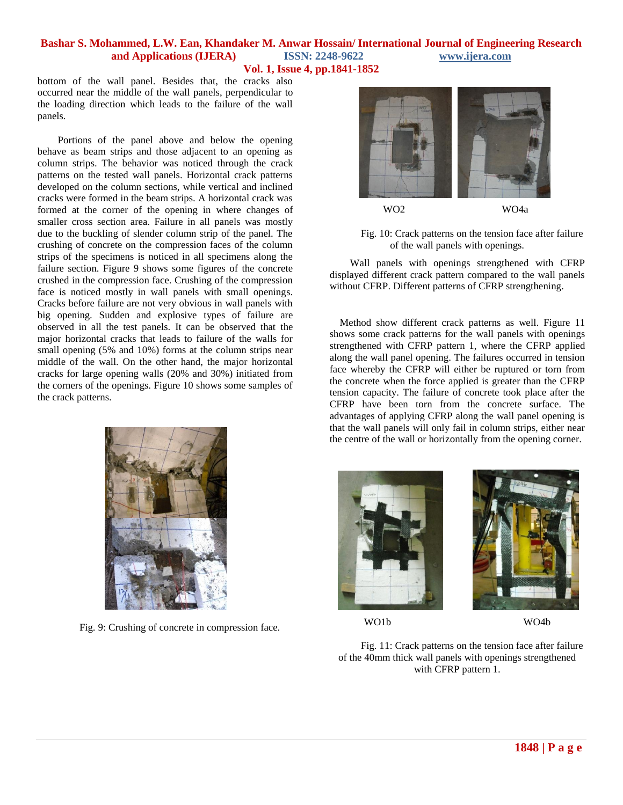**Vol. 1, Issue 4, pp.1841-1852**

bottom of the wall panel. Besides that, the cracks also occurred near the middle of the wall panels, perpendicular to the loading direction which leads to the failure of the wall panels.

 Portions of the panel above and below the opening behave as beam strips and those adjacent to an opening as column strips. The behavior was noticed through the crack patterns on the tested wall panels. Horizontal crack patterns developed on the column sections, while vertical and inclined cracks were formed in the beam strips. A horizontal crack was formed at the corner of the opening in where changes of smaller cross section area. Failure in all panels was mostly due to the buckling of slender column strip of the panel. The crushing of concrete on the compression faces of the column strips of the specimens is noticed in all specimens along the failure section. Figure 9 shows some figures of the concrete crushed in the compression face. Crushing of the compression face is noticed mostly in wall panels with small openings. Cracks before failure are not very obvious in wall panels with big opening. Sudden and explosive types of failure are observed in all the test panels. It can be observed that the major horizontal cracks that leads to failure of the walls for small opening (5% and 10%) forms at the column strips near middle of the wall. On the other hand, the major horizontal cracks for large opening walls (20% and 30%) initiated from the corners of the openings. Figure 10 shows some samples of the crack patterns.



Fig. 9: Crushing of concrete in compression face.



Fig. 10: Crack patterns on the tension face after failure of the wall panels with openings.

 Wall panels with openings strengthened with CFRP displayed different crack pattern compared to the wall panels without CFRP. Different patterns of CFRP strengthening.

Method show different crack patterns as well. Figure 11 shows some crack patterns for the wall panels with openings strengthened with CFRP pattern 1, where the CFRP applied along the wall panel opening. The failures occurred in tension face whereby the CFRP will either be ruptured or torn from the concrete when the force applied is greater than the CFRP tension capacity. The failure of concrete took place after the CFRP have been torn from the concrete surface. The advantages of applying CFRP along the wall panel opening is that the wall panels will only fail in column strips, either near the centre of the wall or horizontally from the opening corner.





WO1b WO4b

Fig. 11: Crack patterns on the tension face after failure of the 40mm thick wall panels with openings strengthened with CFRP pattern 1.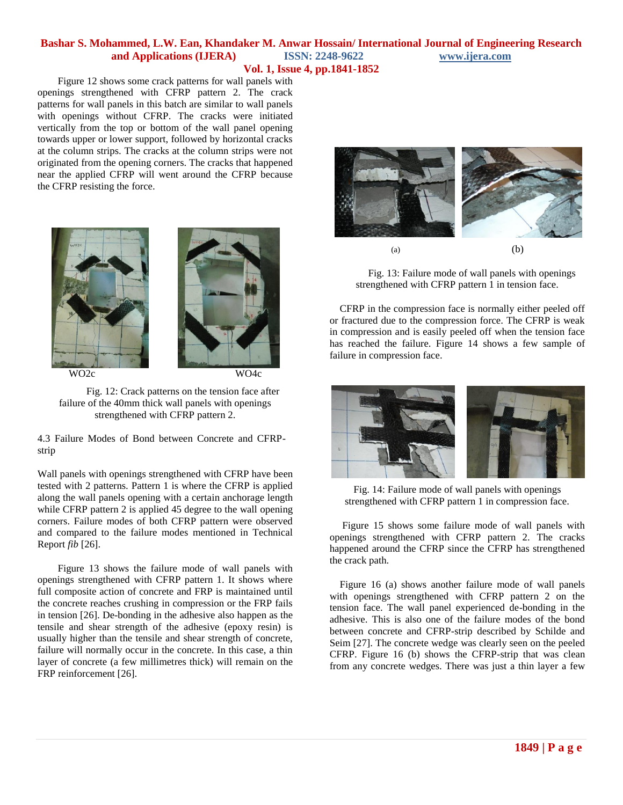Figure 12 shows some crack patterns for wall panels with openings strengthened with CFRP pattern 2. The crack patterns for wall panels in this batch are similar to wall panels with openings without CFRP. The cracks were initiated vertically from the top or bottom of the wall panel opening towards upper or lower support, followed by horizontal cracks at the column strips. The cracks at the column strips were not originated from the opening corners. The cracks that happened near the applied CFRP will went around the CFRP because the CFRP resisting the force.



 Fig. 12: Crack patterns on the tension face after failure of the 40mm thick wall panels with openings strengthened with CFRP pattern 2.

4.3 Failure Modes of Bond between Concrete and CFRPstrip

Wall panels with openings strengthened with CFRP have been tested with 2 patterns. Pattern 1 is where the CFRP is applied along the wall panels opening with a certain anchorage length while CFRP pattern 2 is applied 45 degree to the wall opening corners. Failure modes of both CFRP pattern were observed and compared to the failure modes mentioned in Technical Report *fib* [26].

 Figure 13 shows the failure mode of wall panels with openings strengthened with CFRP pattern 1. It shows where full composite action of concrete and FRP is maintained until the concrete reaches crushing in compression or the FRP fails in tension [26]. De-bonding in the adhesive also happen as the tensile and shear strength of the adhesive (epoxy resin) is usually higher than the tensile and shear strength of concrete, failure will normally occur in the concrete. In this case, a thin layer of concrete (a few millimetres thick) will remain on the FRP reinforcement [26].



Fig. 13: Failure mode of wall panels with openings strengthened with CFRP pattern 1 in tension face.

CFRP in the compression face is normally either peeled off or fractured due to the compression force. The CFRP is weak in compression and is easily peeled off when the tension face has reached the failure. Figure 14 shows a few sample of failure in compression face.



Fig. 14: Failure mode of wall panels with openings strengthened with CFRP pattern 1 in compression face.

Figure 15 shows some failure mode of wall panels with openings strengthened with CFRP pattern 2. The cracks happened around the CFRP since the CFRP has strengthened the crack path.

Figure 16 (a) shows another failure mode of wall panels with openings strengthened with CFRP pattern 2 on the tension face. The wall panel experienced de-bonding in the adhesive. This is also one of the failure modes of the bond between concrete and CFRP-strip described by Schilde and Seim [27]. The concrete wedge was clearly seen on the peeled CFRP. Figure 16 (b) shows the CFRP-strip that was clean from any concrete wedges. There was just a thin layer a few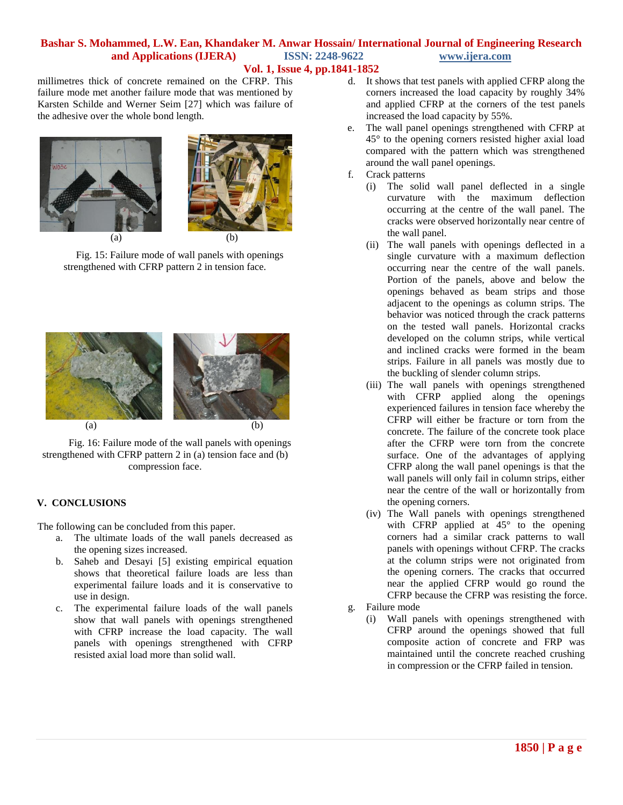millimetres thick of concrete remained on the CFRP. This failure mode met another failure mode that was mentioned by Karsten Schilde and Werner Seim [27] which was failure of the adhesive over the whole bond length.



Fig. 15: Failure mode of wall panels with openings strengthened with CFRP pattern 2 in tension face.



Fig. 16: Failure mode of the wall panels with openings strengthened with CFRP pattern 2 in (a) tension face and (b) compression face.

## **V. CONCLUSIONS**

The following can be concluded from this paper.

- a. The ultimate loads of the wall panels decreased as the opening sizes increased.
- b. Saheb and Desayi [5] existing empirical equation shows that theoretical failure loads are less than experimental failure loads and it is conservative to use in design.
- c. The experimental failure loads of the wall panels show that wall panels with openings strengthened with CFRP increase the load capacity. The wall panels with openings strengthened with CFRP resisted axial load more than solid wall.
- d. It shows that test panels with applied CFRP along the corners increased the load capacity by roughly 34% and applied CFRP at the corners of the test panels increased the load capacity by 55%.
- e. The wall panel openings strengthened with CFRP at 45° to the opening corners resisted higher axial load compared with the pattern which was strengthened around the wall panel openings.
- f. Crack patterns
	- (i) The solid wall panel deflected in a single curvature with the maximum deflection occurring at the centre of the wall panel. The cracks were observed horizontally near centre of the wall panel.
	- (ii) The wall panels with openings deflected in a single curvature with a maximum deflection occurring near the centre of the wall panels. Portion of the panels, above and below the openings behaved as beam strips and those adjacent to the openings as column strips. The behavior was noticed through the crack patterns on the tested wall panels. Horizontal cracks developed on the column strips, while vertical and inclined cracks were formed in the beam strips. Failure in all panels was mostly due to the buckling of slender column strips.
	- (iii) The wall panels with openings strengthened with CFRP applied along the openings experienced failures in tension face whereby the CFRP will either be fracture or torn from the concrete. The failure of the concrete took place after the CFRP were torn from the concrete surface. One of the advantages of applying CFRP along the wall panel openings is that the wall panels will only fail in column strips, either near the centre of the wall or horizontally from the opening corners.
	- (iv) The Wall panels with openings strengthened with CFRP applied at  $45^{\circ}$  to the opening corners had a similar crack patterns to wall panels with openings without CFRP. The cracks at the column strips were not originated from the opening corners. The cracks that occurred near the applied CFRP would go round the CFRP because the CFRP was resisting the force.
- g. Failure mode
	- (i) Wall panels with openings strengthened with CFRP around the openings showed that full composite action of concrete and FRP was maintained until the concrete reached crushing in compression or the CFRP failed in tension.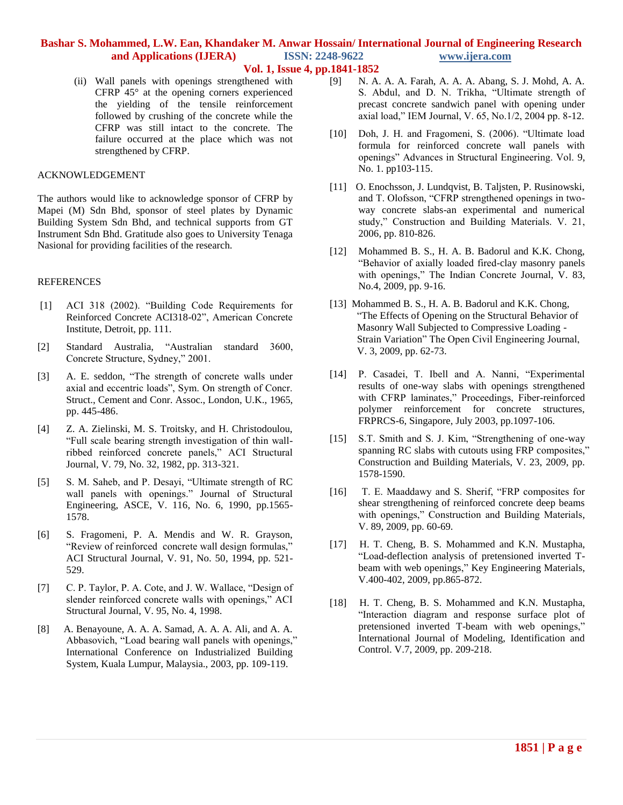- **Vol. 1, Issue 4, pp.1841-1852**
- (ii) Wall panels with openings strengthened with CFRP 45° at the opening corners experienced the yielding of the tensile reinforcement followed by crushing of the concrete while the CFRP was still intact to the concrete. The failure occurred at the place which was not strengthened by CFRP.

### ACKNOWLEDGEMENT

The authors would like to acknowledge sponsor of CFRP by Mapei (M) Sdn Bhd, sponsor of steel plates by Dynamic Building System Sdn Bhd, and technical supports from GT Instrument Sdn Bhd. Gratitude also goes to University Tenaga Nasional for providing facilities of the research.

#### **REFERENCES**

- [1] ACI 318 (2002). "Building Code Requirements for Reinforced Concrete ACI318-02", American Concrete Institute, Detroit, pp. 111.
- [2] Standard Australia, "Australian standard 3600, Concrete Structure, Sydney," 2001.
- [3] A. E. seddon, "The strength of concrete walls under axial and eccentric loads", Sym. On strength of Concr. Struct., Cement and Conr. Assoc., London, U.K., 1965, pp. 445-486.
- [4] Z. A. Zielinski, M. S. Troitsky, and H. Christodoulou, "Full scale bearing strength investigation of thin wallribbed reinforced concrete panels," ACI Structural Journal, V. 79, No. 32, 1982, pp. 313-321.
- [5] S. M. Saheb, and P. Desayi, "Ultimate strength of RC wall panels with openings." Journal of Structural Engineering, ASCE, V. 116, No. 6, 1990, pp.1565- 1578.
- [6] S. Fragomeni, P. A. Mendis and W. R. Grayson, "Review of reinforced concrete wall design formulas," ACI Structural Journal, V. 91, No. 50, 1994, pp. 521- 529.
- [7] C. P. Taylor, P. A. Cote, and J. W. Wallace, "Design of slender reinforced concrete walls with openings," ACI Structural Journal, V. 95, No. 4, 1998.
- [8] A. Benayoune, A. A. A. Samad, A. A. A. Ali, and A. A. Abbasovich, "Load bearing wall panels with openings," International Conference on Industrialized Building System, Kuala Lumpur, Malaysia., 2003, pp. 109-119.
- [9] N. A. A. A. Farah, A. A. A. Abang, S. J. Mohd, A. A. S. Abdul, and D. N. Trikha, "Ultimate strength of precast concrete sandwich panel with opening under axial load," IEM Journal, V. 65, No.1/2, 2004 pp. 8-12.
- [10] Doh, J. H. and Fragomeni, S. (2006). "Ultimate load formula for reinforced concrete wall panels with openings" Advances in Structural Engineering. Vol. 9, No. 1. pp103-115.
- [11] O. Enochsson, J. Lundqvist, B. Taljsten, P. Rusinowski, and T. Olofsson, "CFRP strengthened openings in twoway concrete slabs-an experimental and numerical study," Construction and Building Materials. V. 21, 2006, pp. 810-826.
- [12] Mohammed B. S., H. A. B. Badorul and K.K. Chong, "Behavior of axially loaded fired-clay masonry panels with openings," The Indian Concrete Journal, V. 83, No.4, 2009, pp. 9-16.
- [13] Mohammed B. S., H. A. B. Badorul and K.K. Chong, "The Effects of Opening on the Structural Behavior of Masonry Wall Subjected to Compressive Loading - Strain Variation" The Open Civil Engineering Journal, V. 3, 2009, pp. 62-73.
- [14] P. Casadei, T. Ibell and A. Nanni, "Experimental results of one-way slabs with openings strengthened with CFRP laminates," Proceedings, Fiber-reinforced polymer reinforcement for concrete structures, FRPRCS-6, Singapore, July 2003, pp.1097-106.
- [15] S.T. Smith and S. J. Kim, "Strengthening of one-way spanning RC slabs with cutouts using FRP composites," Construction and Building Materials, V. 23, 2009, pp. 1578-1590.
- [16] T. E. Maaddawy and S. Sherif, "FRP composites for shear strengthening of reinforced concrete deep beams with openings," Construction and Building Materials, V. 89, 2009, pp. 60-69.
- [17] H. T. Cheng, B. S. Mohammed and K.N. Mustapha, "Load-deflection analysis of pretensioned inverted Tbeam with web openings," Key Engineering Materials, V.400-402, 2009, pp.865-872.
- [18] H. T. Cheng, B. S. Mohammed and K.N. Mustapha, "Interaction diagram and response surface plot of pretensioned inverted T-beam with web openings," International Journal of Modeling, Identification and Control. V.7, 2009, pp. 209-218.